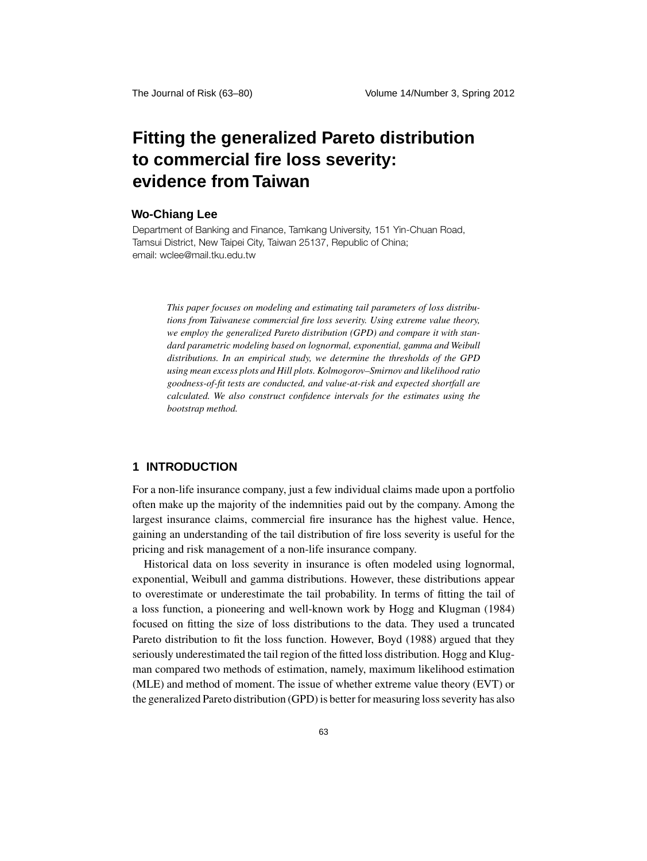# **Fitting the generalized Pareto distribution to commercial fire loss severity: evidence from Taiwan**

## **Wo-Chiang Lee**

Department of Banking and Finance, Tamkang University, 151 Yin-Chuan Road, Tamsui District, New Taipei City, Taiwan 25137, Republic of China; email: wclee@mail.tku.edu.tw

> *This paper focuses on modeling and estimating tail parameters of loss distributions from Taiwanese commercial fire loss severity. Using extreme value theory, we employ the generalized Pareto distribution (GPD) and compare it with standard parametric modeling based on lognormal, exponential, gamma and Weibull distributions. In an empirical study, we determine the thresholds of the GPD using mean excess plots and Hill plots. Kolmogorov–Smirnov and likelihood ratio goodness-of-fit tests are conducted, and value-at-risk and expected shortfall are calculated. We also construct confidence intervals for the estimates using the bootstrap method.*

## **1 INTRODUCTION**

For a non-life insurance company, just a few individual claims made upon a portfolio often make up the majority of the indemnities paid out by the company. Among the largest insurance claims, commercial fire insurance has the highest value. Hence, gaining an understanding of the tail distribution of fire loss severity is useful for the pricing and risk management of a non-life insurance company.

Historical data on loss severity in insurance is often modeled using lognormal, exponential, Weibull and gamma distributions. However, these distributions appear to overestimate or underestimate the tail probability. In terms of fitting the tail of a loss function, a pioneering and well-known work by Hogg and Klugman (1984) focused on fitting the size of loss distributions to the data. They used a truncated Pareto distribution to fit the loss function. However, Boyd (1988) argued that they seriously underestimated the tail region of the fitted loss distribution. Hogg and Klugman compared two methods of estimation, namely, maximum likelihood estimation (MLE) and method of moment. The issue of whether extreme value theory (EVT) or the generalized Pareto distribution (GPD) is better for measuring loss severity has also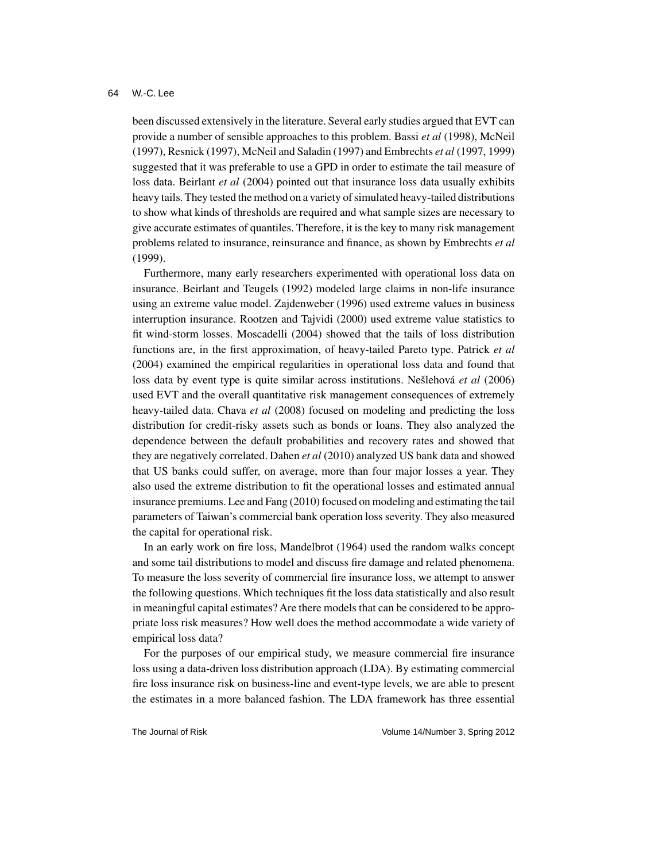been discussed extensively in the literature. Several early studies argued that EVT can provide a number of sensible approaches to this problem. Bassi *et al* (1998), McNeil (1997), Resnick (1997), McNeil and Saladin (1997) and Embrechts *et al* (1997, 1999) suggested that it was preferable to use a GPD in order to estimate the tail measure of loss data. Beirlant *et al* (2004) pointed out that insurance loss data usually exhibits heavy tails. They tested the method on a variety of simulated heavy-tailed distributions to show what kinds of thresholds are required and what sample sizes are necessary to give accurate estimates of quantiles. Therefore, it is the key to many risk management problems related to insurance, reinsurance and finance, as shown by Embrechts *et al* (1999).

Furthermore, many early researchers experimented with operational loss data on insurance. Beirlant and Teugels (1992) modeled large claims in non-life insurance using an extreme value model. Zajdenweber (1996) used extreme values in business interruption insurance. Rootzen and Tajvidi (2000) used extreme value statistics to fit wind-storm losses. Moscadelli (2004) showed that the tails of loss distribution functions are, in the first approximation, of heavy-tailed Pareto type. Patrick *et al* (2004) examined the empirical regularities in operational loss data and found that loss data by event type is quite similar across institutions. Nešlehová *et al* (2006) used EVT and the overall quantitative risk management consequences of extremely heavy-tailed data. Chava *et al* (2008) focused on modeling and predicting the loss distribution for credit-risky assets such as bonds or loans. They also analyzed the dependence between the default probabilities and recovery rates and showed that they are negatively correlated. Dahen *et al* (2010) analyzed US bank data and showed that US banks could suffer, on average, more than four major losses a year. They also used the extreme distribution to fit the operational losses and estimated annual insurance premiums. Lee and Fang (2010) focused on modeling and estimating the tail parameters of Taiwan's commercial bank operation loss severity. They also measured the capital for operational risk.

In an early work on fire loss, Mandelbrot (1964) used the random walks concept and some tail distributions to model and discuss fire damage and related phenomena. To measure the loss severity of commercial fire insurance loss, we attempt to answer the following questions. Which techniques fit the loss data statistically and also result in meaningful capital estimates? Are there models that can be considered to be appropriate loss risk measures? How well does the method accommodate a wide variety of empirical loss data?

For the purposes of our empirical study, we measure commercial fire insurance loss using a data-driven loss distribution approach (LDA). By estimating commercial fire loss insurance risk on business-line and event-type levels, we are able to present the estimates in a more balanced fashion. The LDA framework has three essential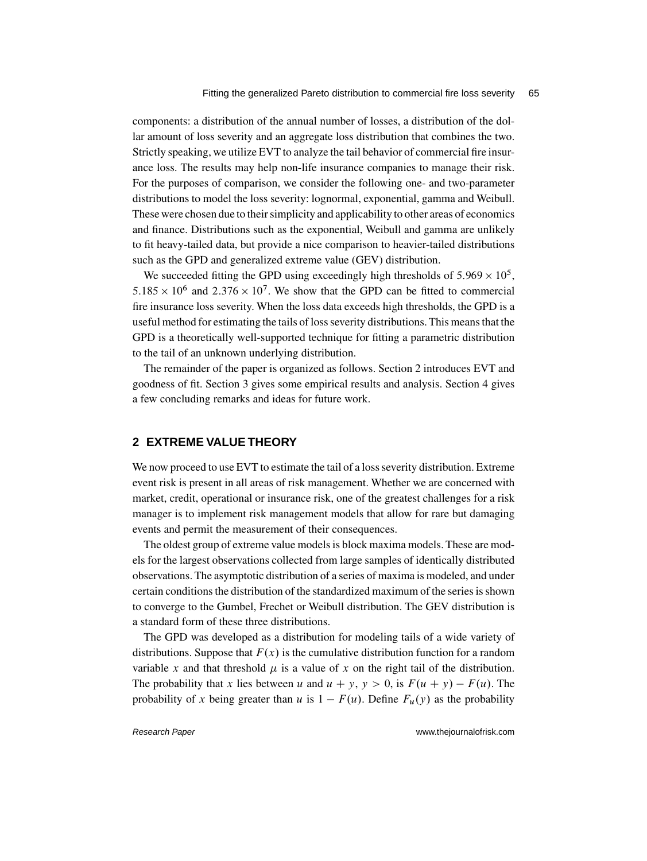components: a distribution of the annual number of losses, a distribution of the dollar amount of loss severity and an aggregate loss distribution that combines the two. Strictly speaking, we utilize EVT to analyze the tail behavior of commercial fire insurance loss. The results may help non-life insurance companies to manage their risk. For the purposes of comparison, we consider the following one- and two-parameter distributions to model the loss severity: lognormal, exponential, gamma and Weibull. These were chosen due to their simplicity and applicability to other areas of economics and finance. Distributions such as the exponential, Weibull and gamma are unlikely to fit heavy-tailed data, but provide a nice comparison to heavier-tailed distributions such as the GPD and generalized extreme value (GEV) distribution.

We succeeded fitting the GPD using exceedingly high thresholds of  $5.969 \times 10^5$ ,  $5.185 \times 10^6$  and  $2.376 \times 10^7$ . We show that the GPD can be fitted to commercial fire insurance loss severity. When the loss data exceeds high thresholds, the GPD is a useful method for estimating the tails of loss severity distributions. This means that the GPD is a theoretically well-supported technique for fitting a parametric distribution to the tail of an unknown underlying distribution.

The remainder of the paper is organized as follows. Section 2 introduces EVT and goodness of fit. Section 3 gives some empirical results and analysis. Section 4 gives a few concluding remarks and ideas for future work.

## **2 EXTREME VALUE THEORY**

We now proceed to use EVT to estimate the tail of a loss severity distribution. Extreme event risk is present in all areas of risk management. Whether we are concerned with market, credit, operational or insurance risk, one of the greatest challenges for a risk manager is to implement risk management models that allow for rare but damaging events and permit the measurement of their consequences.

The oldest group of extreme value models is block maxima models. These are models for the largest observations collected from large samples of identically distributed observations. The asymptotic distribution of a series of maxima is modeled, and under certain conditions the distribution of the standardized maximum of the series is shown to converge to the Gumbel, Frechet or Weibull distribution. The GEV distribution is a standard form of these three distributions.

The GPD was developed as a distribution for modeling tails of a wide variety of distributions. Suppose that  $F(x)$  is the cumulative distribution function for a random variable x and that threshold  $\mu$  is a value of x on the right tail of the distribution. The probability that x lies between u and  $u + y$ ,  $y > 0$ , is  $F(u + y) - F(u)$ . The probability of x being greater than u is  $1 - F(u)$ . Define  $F_u(y)$  as the probability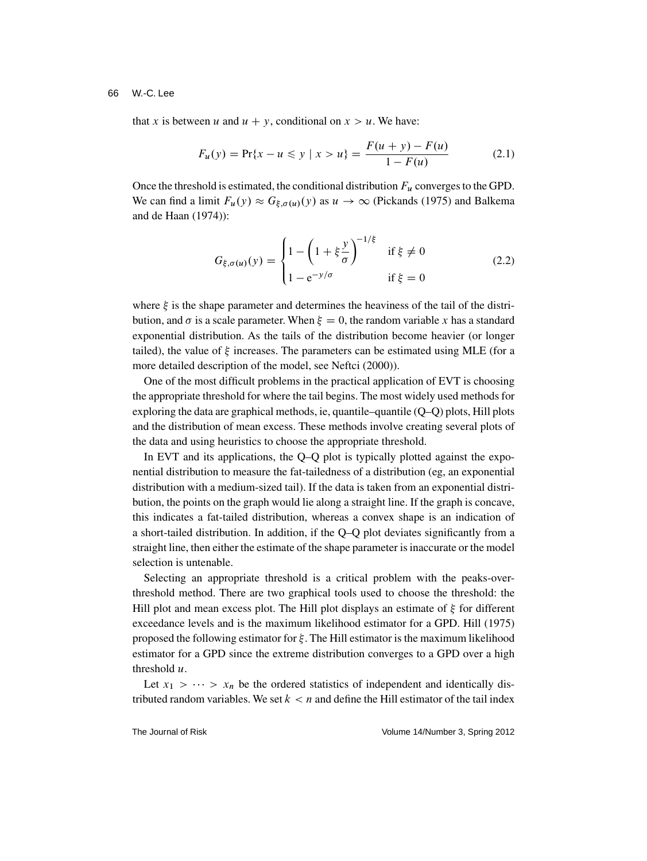that x is between u and  $u + y$ , conditional on  $x > u$ . We have:

$$
F_u(y) = \Pr\{x - u \le y \mid x > u\} = \frac{F(u + y) - F(u)}{1 - F(u)} \tag{2.1}
$$

Once the threshold is estimated, the conditional distribution  $F_u$  converges to the GPD. We can find a limit  $F_u(y) \approx G_{\xi,\sigma(u)}(y)$  as  $u \to \infty$  (Pickands (1975) and Balkema and de Haan (1974)):

$$
G_{\xi,\sigma(u)}(y) = \begin{cases} 1 - \left(1 + \xi \frac{y}{\sigma}\right)^{-1/\xi} & \text{if } \xi \neq 0\\ 1 - e^{-y/\sigma} & \text{if } \xi = 0 \end{cases}
$$
(2.2)

where  $\xi$  is the shape parameter and determines the heaviness of the tail of the distribution, and  $\sigma$  is a scale parameter. When  $\xi = 0$ , the random variable x has a standard exponential distribution. As the tails of the distribution become heavier (or longer tailed), the value of  $\xi$  increases. The parameters can be estimated using MLE (for a more detailed description of the model, see Neftci (2000)).

One of the most difficult problems in the practical application of EVT is choosing the appropriate threshold for where the tail begins. The most widely used methods for exploring the data are graphical methods, ie, quantile–quantile (Q–Q) plots, Hill plots and the distribution of mean excess. These methods involve creating several plots of the data and using heuristics to choose the appropriate threshold.

In EVT and its applications, the Q–Q plot is typically plotted against the exponential distribution to measure the fat-tailedness of a distribution (eg, an exponential distribution with a medium-sized tail). If the data is taken from an exponential distribution, the points on the graph would lie along a straight line. If the graph is concave, this indicates a fat-tailed distribution, whereas a convex shape is an indication of a short-tailed distribution. In addition, if the Q–Q plot deviates significantly from a straight line, then either the estimate of the shape parameter is inaccurate or the model selection is untenable.

Selecting an appropriate threshold is a critical problem with the peaks-overthreshold method. There are two graphical tools used to choose the threshold: the Hill plot and mean excess plot. The Hill plot displays an estimate of  $\xi$  for different exceedance levels and is the maximum likelihood estimator for a GPD. Hill (1975) proposed the following estimator for  $\xi$ . The Hill estimator is the maximum likelihood estimator for a GPD since the extreme distribution converges to a GPD over a high threshold  $u$ .

Let  $x_1 > \cdots > x_n$  be the ordered statistics of independent and identically distributed random variables. We set  $k < n$  and define the Hill estimator of the tail index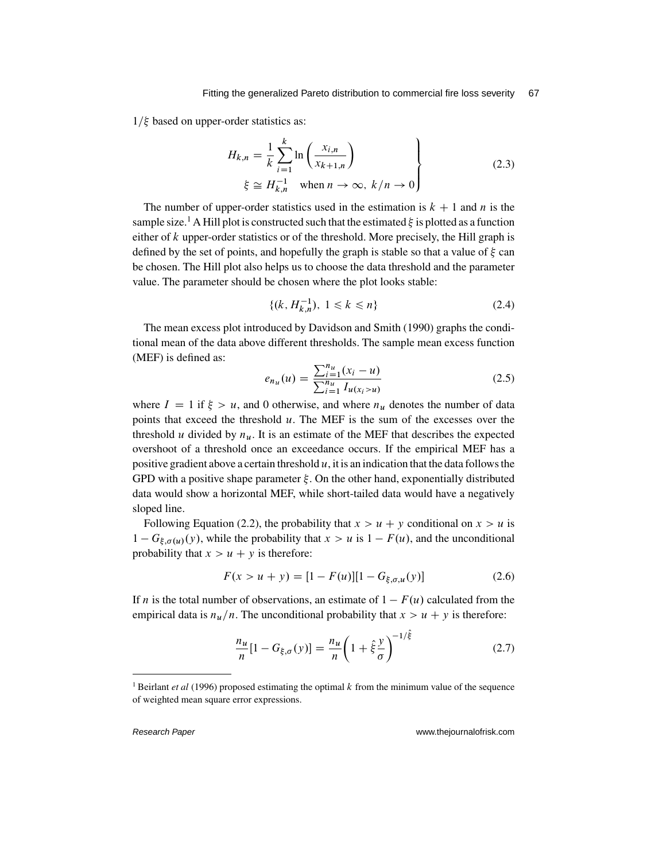$1/\xi$  based on upper-order statistics as:

$$
H_{k,n} = \frac{1}{k} \sum_{i=1}^{k} \ln \left( \frac{x_{i,n}}{x_{k+1,n}} \right)
$$
  
\n
$$
\xi \cong H_{k,n}^{-1} \quad \text{when } n \to \infty, \ k/n \to 0
$$
\n(2.3)

The number of upper-order statistics used in the estimation is  $k + 1$  and n is the sample size.<sup>1</sup> A Hill plot is constructed such that the estimated  $\xi$  is plotted as a function either of  $k$  upper-order statistics or of the threshold. More precisely, the Hill graph is defined by the set of points, and hopefully the graph is stable so that a value of  $\xi$  can be chosen. The Hill plot also helps us to choose the data threshold and the parameter value. The parameter should be chosen where the plot looks stable:

$$
\{(k, H_{k,n}^{-1}), 1 \le k \le n\}
$$
\n(2.4)

The mean excess plot introduced by Davidson and Smith (1990) graphs the conditional mean of the data above different thresholds. The sample mean excess function (MEF) is defined as:

$$
e_{n_u}(u) = \frac{\sum_{i=1}^{n_u} (x_i - u)}{\sum_{i=1}^{n_u} I_{u(x_i > u)}}
$$
(2.5)

where  $I = 1$  if  $\xi > u$ , and 0 otherwise, and where  $n_u$  denotes the number of data points that exceed the threshold  $u$ . The MEF is the sum of the excesses over the threshold u divided by  $n_{\mathbf{u}}$ . It is an estimate of the MEF that describes the expected overshoot of a threshold once an exceedance occurs. If the empirical MEF has a positive gradient above a certain threshold  $u$ , it is an indication that the data follows the GPD with a positive shape parameter  $\xi$ . On the other hand, exponentially distributed data would show a horizontal MEF, while short-tailed data would have a negatively sloped line.

Following Equation (2.2), the probability that  $x > u + y$  conditional on  $x > u$  is  $1 - G_{\xi,\sigma(u)}(y)$ , while the probability that  $x > u$  is  $1 - F(u)$ , and the unconditional probability that  $x > u + y$  is therefore:

$$
F(x > u + y) = [1 - F(u)][1 - G_{\xi, \sigma, u}(y)] \tag{2.6}
$$

If *n* is the total number of observations, an estimate of  $1 - F(u)$  calculated from the empirical data is  $n_u/n$ . The unconditional probability that  $x > u + y$  is therefore:

$$
\frac{n_u}{n}[1 - G_{\xi,\sigma}(y)] = \frac{n_u}{n}\left(1 + \hat{\xi}\frac{y}{\sigma}\right)^{-1/\hat{\xi}}
$$
(2.7)

<sup>1</sup> Beirlant *et al* (1996) proposed estimating the optimal k from the minimum value of the sequence of weighted mean square error expressions.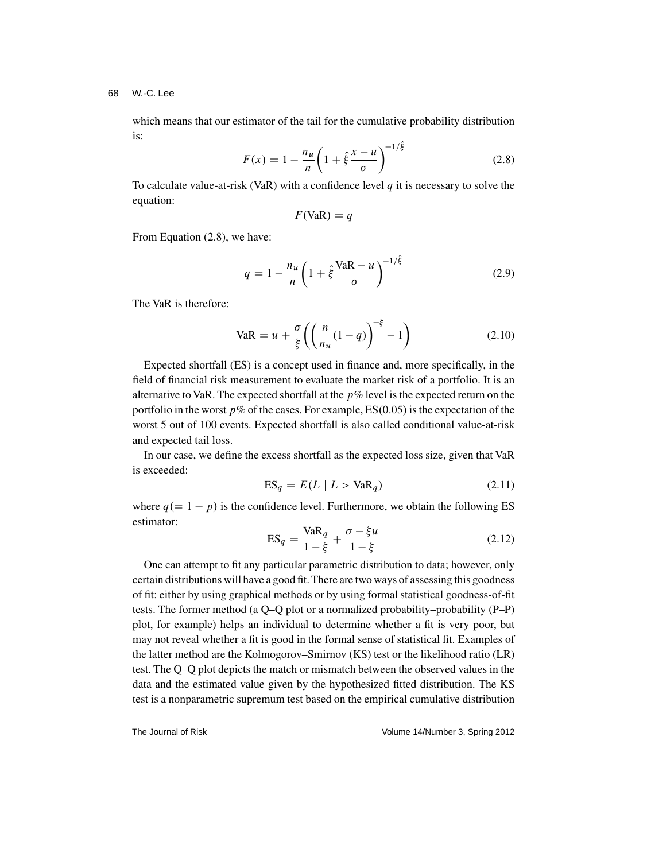which means that our estimator of the tail for the cumulative probability distribution is:

$$
F(x) = 1 - \frac{n_u}{n} \left( 1 + \hat{\xi} \frac{x - u}{\sigma} \right)^{-1/\hat{\xi}}
$$
 (2.8)

To calculate value-at-risk (VaR) with a confidence level  $q$  it is necessary to solve the equation:

$$
F(\text{VaR}) = q
$$

From Equation (2.8), we have:

$$
q = 1 - \frac{n_u}{n} \left( 1 + \hat{\xi} \frac{\text{VaR} - u}{\sigma} \right)^{-1/\hat{\xi}}
$$
\n(2.9)

The VaR is therefore:

$$
\text{VaR} = u + \frac{\sigma}{\xi} \left( \left( \frac{n}{n_u} (1 - q) \right)^{-\xi} - 1 \right) \tag{2.10}
$$

Expected shortfall (ES) is a concept used in finance and, more specifically, in the field of financial risk measurement to evaluate the market risk of a portfolio. It is an alternative to VaR. The expected shortfall at the  $p\%$  level is the expected return on the portfolio in the worst  $p\%$  of the cases. For example, ES $(0.05)$  is the expectation of the worst 5 out of 100 events. Expected shortfall is also called conditional value-at-risk and expected tail loss.

In our case, we define the excess shortfall as the expected loss size, given that VaR is exceeded:

$$
ES_q = E(L \mid L > VaR_q)
$$
\n(2.11)

where  $q(= 1 - p)$  is the confidence level. Furthermore, we obtain the following ES estimator:

$$
ES_q = \frac{VaR_q}{1 - \xi} + \frac{\sigma - \xi u}{1 - \xi}
$$
\n(2.12)

One can attempt to fit any particular parametric distribution to data; however, only certain distributions will have a good fit. There are two ways of assessing this goodness of fit: either by using graphical methods or by using formal statistical goodness-of-fit tests. The former method (a Q–Q plot or a normalized probability–probability (P–P) plot, for example) helps an individual to determine whether a fit is very poor, but may not reveal whether a fit is good in the formal sense of statistical fit. Examples of the latter method are the Kolmogorov–Smirnov (KS) test or the likelihood ratio (LR) test. The Q–Q plot depicts the match or mismatch between the observed values in the data and the estimated value given by the hypothesized fitted distribution. The KS test is a nonparametric supremum test based on the empirical cumulative distribution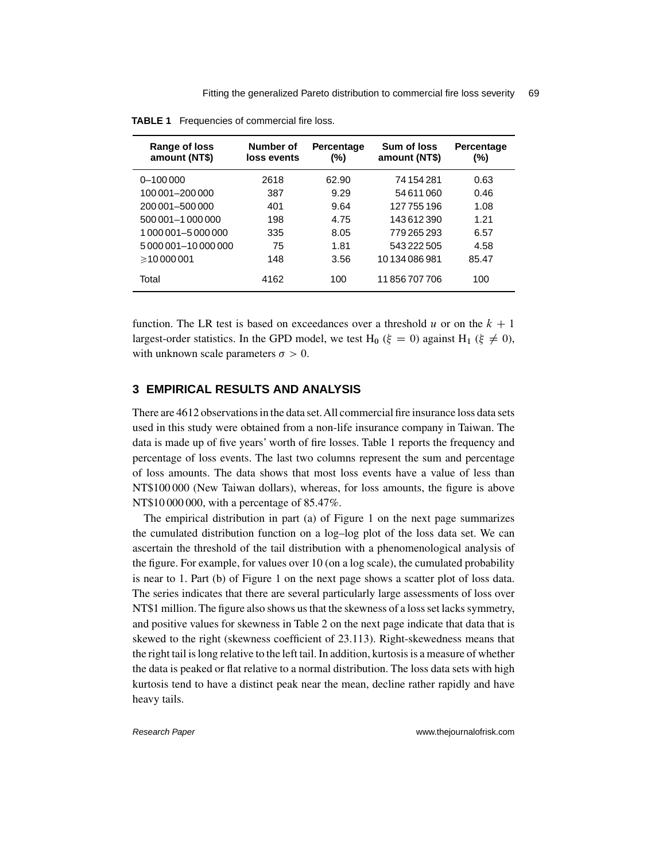| Range of loss<br>amount (NT\$) | Number of<br>loss events | <b>Percentage</b><br>(%) | Sum of loss<br>amount (NT\$) | Percentage<br>(%) |
|--------------------------------|--------------------------|--------------------------|------------------------------|-------------------|
| $0 - 100000$                   | 2618                     | 62.90                    | 74 154 281                   | 0.63              |
| 100 001-200 000                | 387                      | 9.29                     | 54611060                     | 0.46              |
| 200 001-500 000                | 401                      | 9.64                     | 127755196                    | 1.08              |
| 500 001-1 000 000              | 198                      | 4.75                     | 143612390                    | 1.21              |
| 1 000 001-5 000 000            | 335                      | 8.05                     | 779 265 293                  | 6.57              |
| 5 000 001-10 000 000           | 75                       | 1.81                     | 543 222 505                  | 4.58              |
| $\geq 10000001$                | 148                      | 3.56                     | 10134086981                  | 85.47             |
| Total                          | 4162                     | 100                      | 11856707706                  | 100               |

**TABLE 1** Frequencies of commercial fire loss.

function. The LR test is based on exceedances over a threshold u or on the  $k + 1$ largest-order statistics. In the GPD model, we test H<sub>0</sub> ( $\xi = 0$ ) against H<sub>1</sub> ( $\xi \neq 0$ ), with unknown scale parameters  $\sigma > 0$ .

## **3 EMPIRICAL RESULTS AND ANALYSIS**

There are 4612 observations in the data set.All commercial fire insurance loss data sets used in this study were obtained from a non-life insurance company in Taiwan. The data is made up of five years' worth of fire losses. Table 1 reports the frequency and percentage of loss events. The last two columns represent the sum and percentage of loss amounts. The data shows that most loss events have a value of less than NT\$100 000 (New Taiwan dollars), whereas, for loss amounts, the figure is above NT\$10 000 000, with a percentage of 85.47%.

The empirical distribution in part (a) of Figure 1 on the next page summarizes the cumulated distribution function on a log–log plot of the loss data set. We can ascertain the threshold of the tail distribution with a phenomenological analysis of the figure. For example, for values over 10 (on a log scale), the cumulated probability is near to 1. Part (b) of Figure 1 on the next page shows a scatter plot of loss data. The series indicates that there are several particularly large assessments of loss over NT\$1 million. The figure also shows us that the skewness of a loss set lacks symmetry, and positive values for skewness in Table 2 on the next page indicate that data that is skewed to the right (skewness coefficient of 23.113). Right-skewedness means that the right tail is long relative to the left tail. In addition, kurtosis is a measure of whether the data is peaked or flat relative to a normal distribution. The loss data sets with high kurtosis tend to have a distinct peak near the mean, decline rather rapidly and have heavy tails.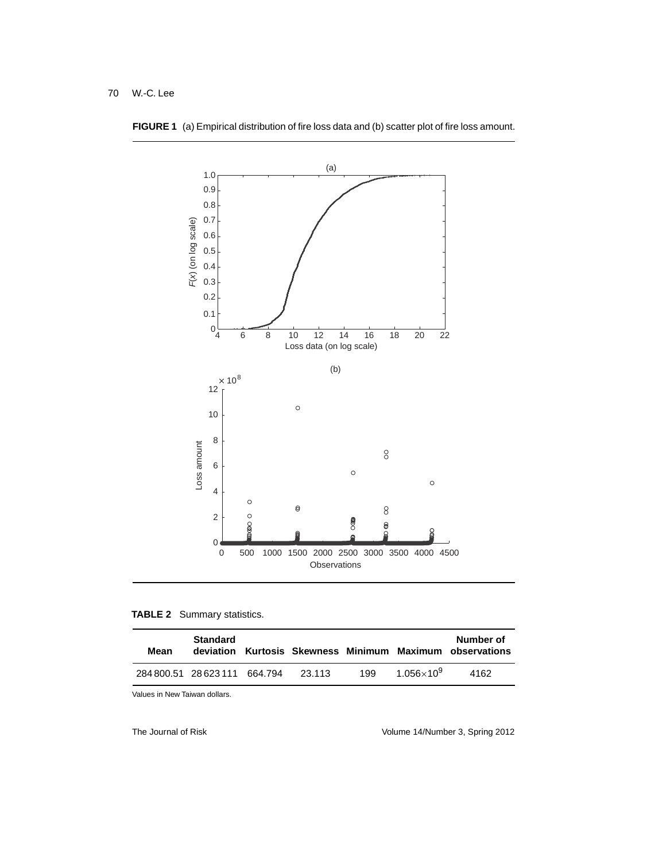

**FIGURE 1** (a) Empirical distribution of fire loss data and (b) scatter plot of fire loss amount.

#### **TABLE 2** Summary statistics.

| Mean | <b>Standard</b>               |        |     |                     | Number of<br>deviation Kurtosis Skewness Minimum Maximum observations |
|------|-------------------------------|--------|-----|---------------------|-----------------------------------------------------------------------|
|      | 284 800 51 28 623 111 664 794 | 23.113 | 199 | $1.056\times10^{9}$ | 4162                                                                  |

Values in New Taiwan dollars.

The Journal of Risk The Source 2012 Colume 14/Number 3, Spring 2012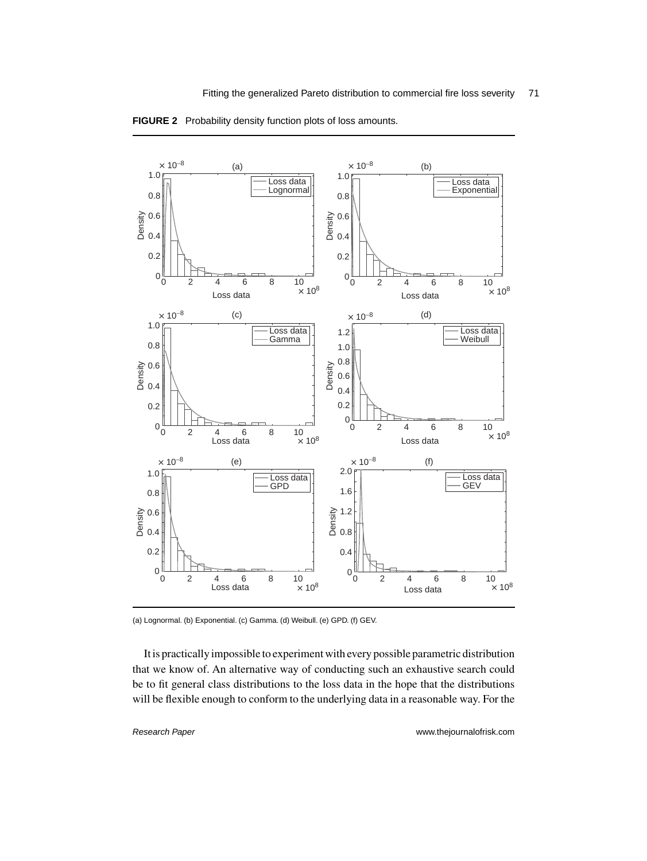

**FIGURE 2** Probability density function plots of loss amounts.

It is practically impossible to experiment with every possible parametric distribution that we know of. An alternative way of conducting such an exhaustive search could be to fit general class distributions to the loss data in the hope that the distributions will be flexible enough to conform to the underlying data in a reasonable way. For the

<sup>(</sup>a) Lognormal. (b) Exponential. (c) Gamma. (d) Weibull. (e) GPD. (f) GEV.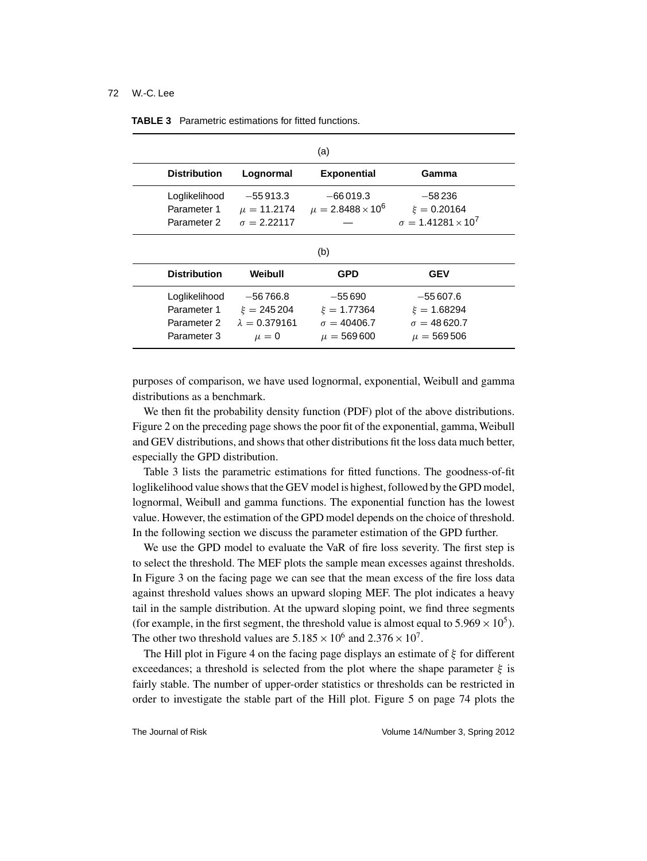|                     |                      | (a)                        |                                |
|---------------------|----------------------|----------------------------|--------------------------------|
| <b>Distribution</b> | Lognormal            | <b>Exponential</b>         | Gamma                          |
| Loglikelihood       | $-55913.3$           | $-66019.3$                 | $-58236$                       |
| Parameter 1         | $\mu = 11.2174$      | $\mu = 2.8488 \times 10^6$ | $\xi = 0.20164$                |
| Parameter 2         | $\sigma = 2.22117$   |                            | $\sigma = 1.41281 \times 10^7$ |
|                     |                      | (b)                        |                                |
| <b>Distribution</b> | Weibull              | <b>GPD</b>                 | <b>GEV</b>                     |
| Loglikelihood       | $-56766.8$           | $-55690$                   | $-55607.6$                     |
| Parameter 1         | $\xi = 245204$       | $\xi = 1.77364$            | $\xi = 1.68294$                |
| Parameter 2         | $\lambda = 0.379161$ | $\sigma = 40406.7$         | $\sigma = 48620.7$             |
| Parameter 3         | $\mu = 0$            | $\mu = 569600$             | $\mu = 569506$                 |

| <b>TABLE 3</b> Parametric estimations for fitted functions. |  |  |  |
|-------------------------------------------------------------|--|--|--|
|                                                             |  |  |  |

purposes of comparison, we have used lognormal, exponential, Weibull and gamma distributions as a benchmark.

We then fit the probability density function (PDF) plot of the above distributions. Figure 2 on the preceding page shows the poor fit of the exponential, gamma, Weibull and GEV distributions, and shows that other distributions fit the loss data much better, especially the GPD distribution.

Table 3 lists the parametric estimations for fitted functions. The goodness-of-fit loglikelihood value shows that the GEV model is highest, followed by the GPD model, lognormal, Weibull and gamma functions. The exponential function has the lowest value. However, the estimation of the GPD model depends on the choice of threshold. In the following section we discuss the parameter estimation of the GPD further.

We use the GPD model to evaluate the VaR of fire loss severity. The first step is to select the threshold. The MEF plots the sample mean excesses against thresholds. In Figure 3 on the facing page we can see that the mean excess of the fire loss data against threshold values shows an upward sloping MEF. The plot indicates a heavy tail in the sample distribution. At the upward sloping point, we find three segments (for example, in the first segment, the threshold value is almost equal to  $5.969 \times 10^5$ ). The other two threshold values are  $5.185 \times 10^6$  and  $2.376 \times 10^7$ .

The Hill plot in Figure 4 on the facing page displays an estimate of  $\xi$  for different exceedances; a threshold is selected from the plot where the shape parameter  $\xi$  is fairly stable. The number of upper-order statistics or thresholds can be restricted in order to investigate the stable part of the Hill plot. Figure 5 on page 74 plots the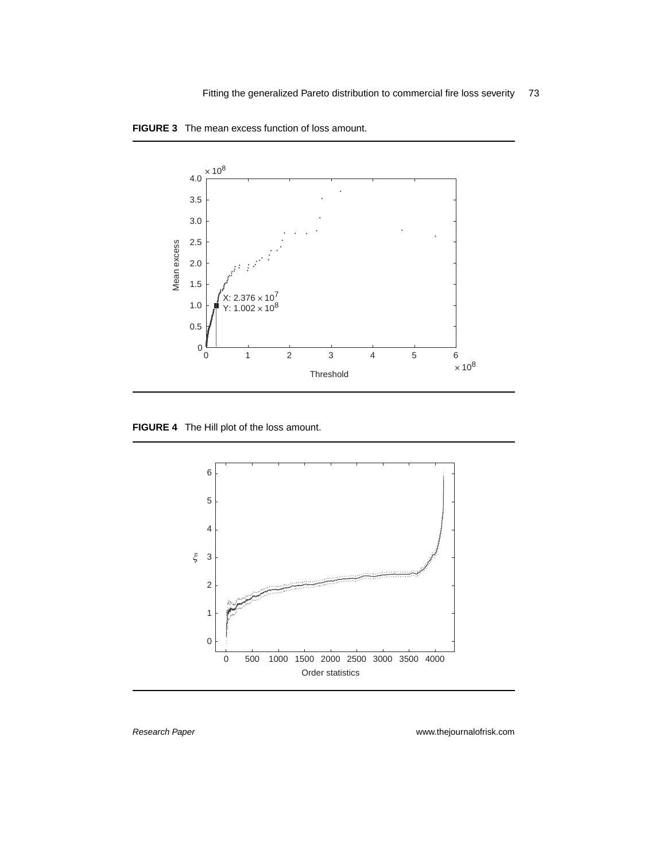

**FIGURE 3** The mean excess function of loss amount.

**FIGURE 4** The Hill plot of the loss amount.

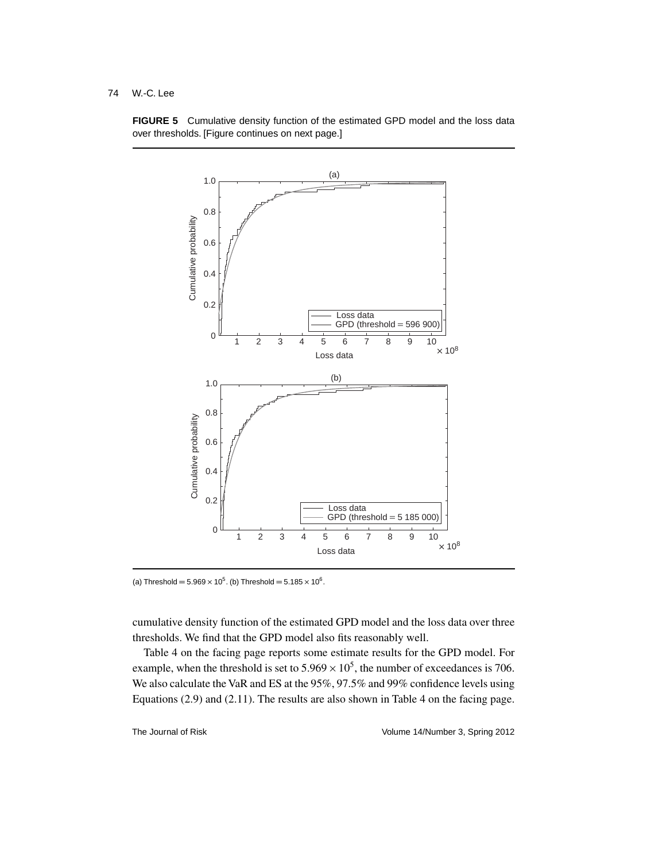

**FIGURE 5** Cumulative density function of the estimated GPD model and the loss data over thresholds. [Figure continues on next page.]

(a) Threshold =  $5.969 \times 10^5$ . (b) Threshold =  $5.185 \times 10^6$ .

cumulative density function of the estimated GPD model and the loss data over three thresholds. We find that the GPD model also fits reasonably well.

Table 4 on the facing page reports some estimate results for the GPD model. For example, when the threshold is set to  $5.969 \times 10^5$ , the number of exceedances is 706. We also calculate the VaR and ES at the 95%, 97.5% and 99% confidence levels using Equations (2.9) and (2.11). The results are also shown in Table 4 on the facing page.

The Journal of Risk Volume 14/Number 3, Spring 2012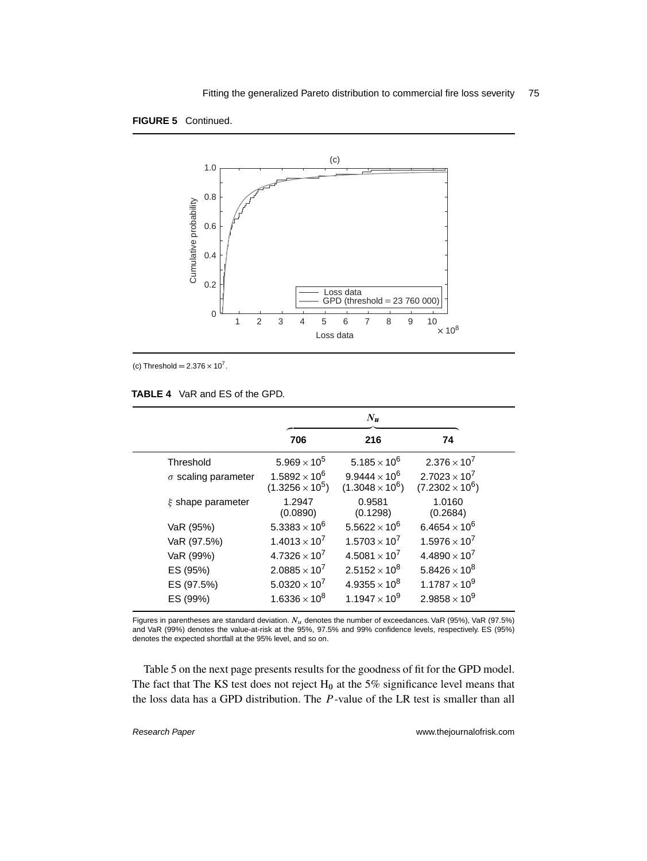



(c) Threshold =  $2.376 \times 10^7$ .

|                            |                                                  | $N_{\boldsymbol{u}}$                                      |                                                |
|----------------------------|--------------------------------------------------|-----------------------------------------------------------|------------------------------------------------|
|                            | 706                                              | 216                                                       | 74                                             |
| Threshold                  | 5.969 $\times$ 10 <sup>5</sup>                   | 5.185 $\times$ 10 <sup>6</sup>                            | $2.376 \times 10^{7}$                          |
| $\sigma$ scaling parameter | $1.5892 \times 10^{6}$<br>$(1.3256 \times 10^5)$ | 9.9444 $\times$ 10 <sup>6</sup><br>$(1.3048 \times 10^6)$ | $2.7023 \times 10^7$<br>$(7.2302 \times 10^6)$ |
| $\xi$ shape parameter      | 1.2947<br>(0.0890)                               | 0.9581<br>(0.1298)                                        | 1.0160<br>(0.2684)                             |
| VaR (95%)                  | 5.3383 $\times$ 10 <sup>6</sup>                  | $5.5622 \times 10^{6}$                                    | 6.4654 $\times$ 10 <sup>6</sup>                |
| VaR (97.5%)                | $1.4013 \times 10^{7}$                           | $1.5703 \times 10^{7}$                                    | $1.5976 \times 10^{7}$                         |
| VaR (99%)                  | $4.7326 \times 10^7$                             | $4.5081 \times 10^{7}$                                    | $4.4890 \times 10^7$                           |
| ES (95%)                   | $2.0885 \times 10^7$                             | $2.5152 \times 10^8$                                      | $5.8426 \times 10^{8}$                         |
| ES (97.5%)                 | $5.0320 \times 10^{7}$                           | $4.9355 \times 10^8$                                      | $1.1787 \times 10^{9}$                         |
| ES (99%)                   | $1.6336 \times 10^8$                             | 1.1947 $\times$ 10 <sup>9</sup>                           | $2.9858 \times 10^{9}$                         |

#### **TABLE 4** VaR and ES of the GPD.

Figures in parentheses are standard deviation.  $N_u$  denotes the number of exceedances. VaR (95%), VaR (97.5%) and VaR (99%) denotes the value-at-risk at the 95%, 97.5% and 99% confidence levels, respectively. ES (95%) denotes the expected shortfall at the 95% level, and so on.

Table 5 on the next page presents results for the goodness of fit for the GPD model. The fact that The KS test does not reject  $H_0$  at the 5% significance level means that the loss data has a GPD distribution. The P-value of the LR test is smaller than all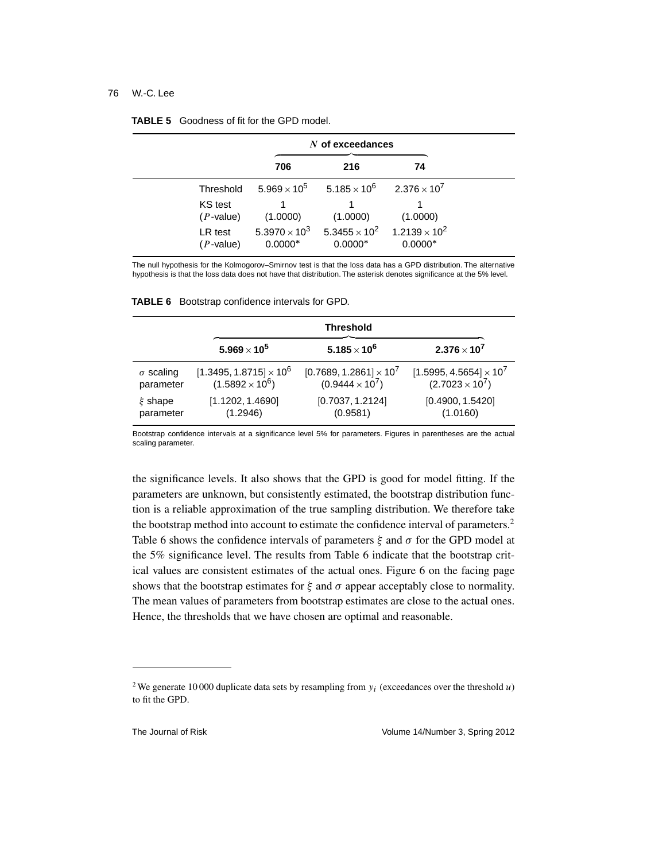$\blacksquare$ 

|                         | $N$ of exceedances                           |                                         |                                     |
|-------------------------|----------------------------------------------|-----------------------------------------|-------------------------------------|
|                         | 706                                          | 216                                     | 74                                  |
| Threshold               | $5.969 \times 10^{5}$                        | $5.185 \times 10^6$ 2.376 $\times 10^7$ |                                     |
| KS test<br>$(P$ -value) | (1.0000)                                     | (1.0000)                                | (1.0000)                            |
| LR test<br>$(P$ -value) | 5.3970 $\times$ 10 <sup>3</sup><br>$0.0000*$ | $5.3455 \times 10^{2}$<br>$0.0000*$     | $1.2139 \times 10^{2}$<br>$0.0000*$ |

The null hypothesis for the Kolmogorov–Smirnov test is that the loss data has a GPD distribution. The alternative hypothesis is that the loss data does not have that distribution. The asterisk denotes significance at the 5% level.

| <b>TABLE 6</b> Bootstrap confidence intervals for GPD. |  |  |  |  |  |  |
|--------------------------------------------------------|--|--|--|--|--|--|
|--------------------------------------------------------|--|--|--|--|--|--|

|                  |                                | <b>Threshold</b>               |                                |  |  |  |
|------------------|--------------------------------|--------------------------------|--------------------------------|--|--|--|
|                  | $5.969 \times 10^5$            | $5.185 \times 10^{6}$          | $2.376 \times 10^{7}$          |  |  |  |
| $\sigma$ scaling | $[1.3495, 1.8715] \times 10^6$ | $[0.7689, 1.2861] \times 10^7$ | $[1.5995, 4.5654] \times 10^7$ |  |  |  |
| parameter        | $(1.5892 \times 10^6)$         | $(0.9444 \times 10^7)$         | $(2.7023 \times 10^7)$         |  |  |  |
| $\xi$ shape      | [1.1202, 1.4690]               | [0.7037, 1.2124]               | [0.4900, 1.5420]               |  |  |  |
| parameter        | (1.2946)                       | (0.9581)                       | (1.0160)                       |  |  |  |

Bootstrap confidence intervals at a significance level 5% for parameters. Figures in parentheses are the actual scaling parameter.

the significance levels. It also shows that the GPD is good for model fitting. If the parameters are unknown, but consistently estimated, the bootstrap distribution function is a reliable approximation of the true sampling distribution. We therefore take the bootstrap method into account to estimate the confidence interval of parameters.2 Table 6 shows the confidence intervals of parameters  $\xi$  and  $\sigma$  for the GPD model at the 5% significance level. The results from Table 6 indicate that the bootstrap critical values are consistent estimates of the actual ones. Figure 6 on the facing page shows that the bootstrap estimates for  $\xi$  and  $\sigma$  appear acceptably close to normality. The mean values of parameters from bootstrap estimates are close to the actual ones. Hence, the thresholds that we have chosen are optimal and reasonable.

<sup>&</sup>lt;sup>2</sup> We generate 10 000 duplicate data sets by resampling from  $y_i$  (exceedances over the threshold u) to fit the GPD.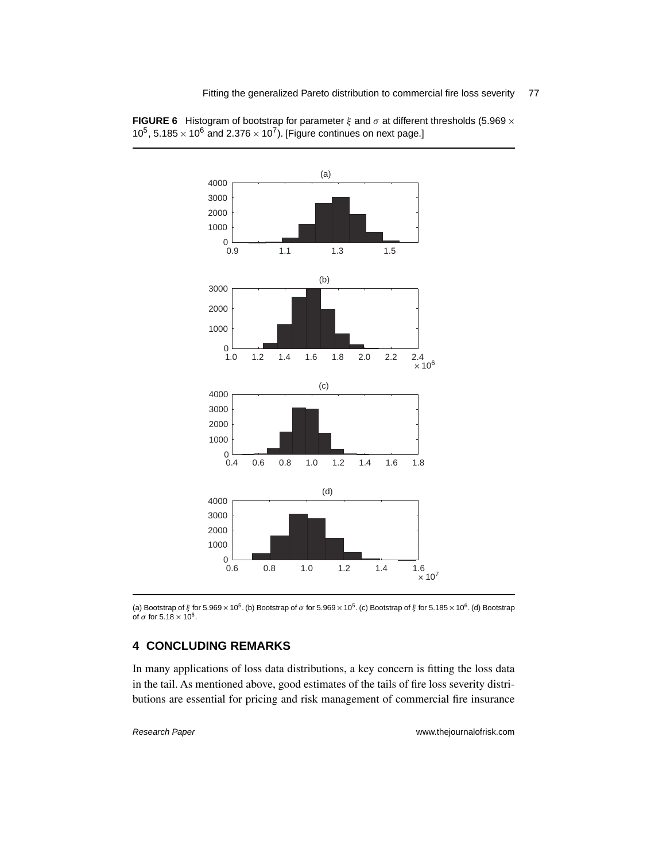

**FIGURE 6** Histogram of bootstrap for parameter  $\xi$  and  $\sigma$  at different thresholds (5.969  $\times$ 10<sup>5</sup>, 5.185  $\times$  10<sup>6</sup> and 2.376  $\times$  10<sup>7</sup>). [Figure continues on next page.]

(a) Bootstrap of  $\xi$  for 5.969  $\times$  10<sup>5</sup>. (b) Bootstrap of  $\sigma$  for 5.969  $\times$  10<sup>5</sup>. (c) Bootstrap of  $\xi$  for 5.185  $\times$  10<sup>6</sup>. (d) Bootstrap of  $\sigma$  for 5.18  $\times$  10<sup>6</sup>.

## **4 CONCLUDING REMARKS**

In many applications of loss data distributions, a key concern is fitting the loss data in the tail. As mentioned above, good estimates of the tails of fire loss severity distributions are essential for pricing and risk management of commercial fire insurance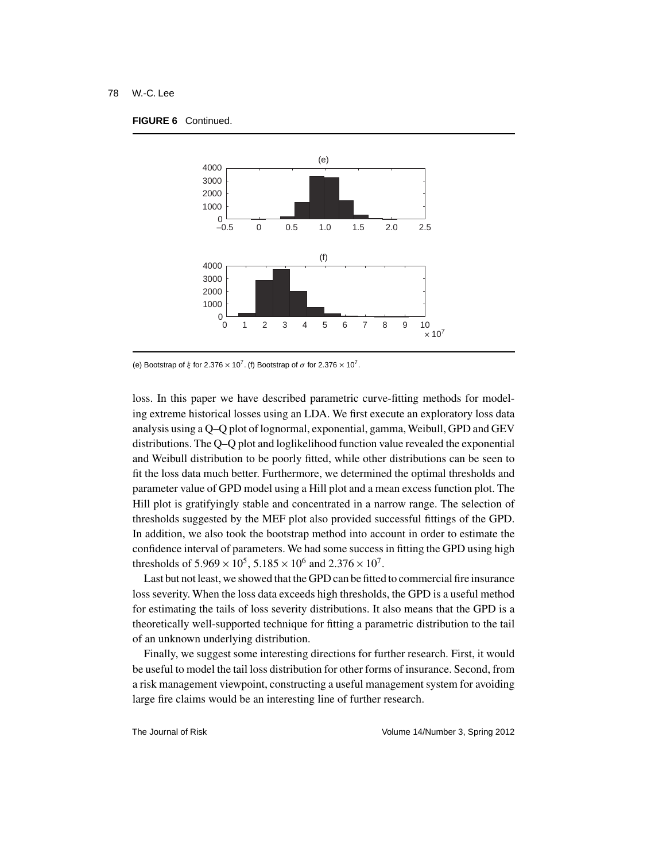#### **FIGURE 6** Continued.



(e) Bootstrap of  $\xi$  for 2.376  $\times$  10<sup>7</sup>. (f) Bootstrap of  $\sigma$  for 2.376  $\times$  10<sup>7</sup>.

loss. In this paper we have described parametric curve-fitting methods for modeling extreme historical losses using an LDA. We first execute an exploratory loss data analysis using a Q–Q plot of lognormal, exponential, gamma, Weibull, GPD and GEV distributions. The Q–Q plot and loglikelihood function value revealed the exponential and Weibull distribution to be poorly fitted, while other distributions can be seen to fit the loss data much better. Furthermore, we determined the optimal thresholds and parameter value of GPD model using a Hill plot and a mean excess function plot. The Hill plot is gratifyingly stable and concentrated in a narrow range. The selection of thresholds suggested by the MEF plot also provided successful fittings of the GPD. In addition, we also took the bootstrap method into account in order to estimate the confidence interval of parameters. We had some success in fitting the GPD using high thresholds of  $5.969 \times 10^5$ ,  $5.185 \times 10^6$  and  $2.376 \times 10^7$ .

Last but not least, we showed that the GPD can be fitted to commercial fire insurance loss severity. When the loss data exceeds high thresholds, the GPD is a useful method for estimating the tails of loss severity distributions. It also means that the GPD is a theoretically well-supported technique for fitting a parametric distribution to the tail of an unknown underlying distribution.

Finally, we suggest some interesting directions for further research. First, it would be useful to model the tail loss distribution for other forms of insurance. Second, from a risk management viewpoint, constructing a useful management system for avoiding large fire claims would be an interesting line of further research.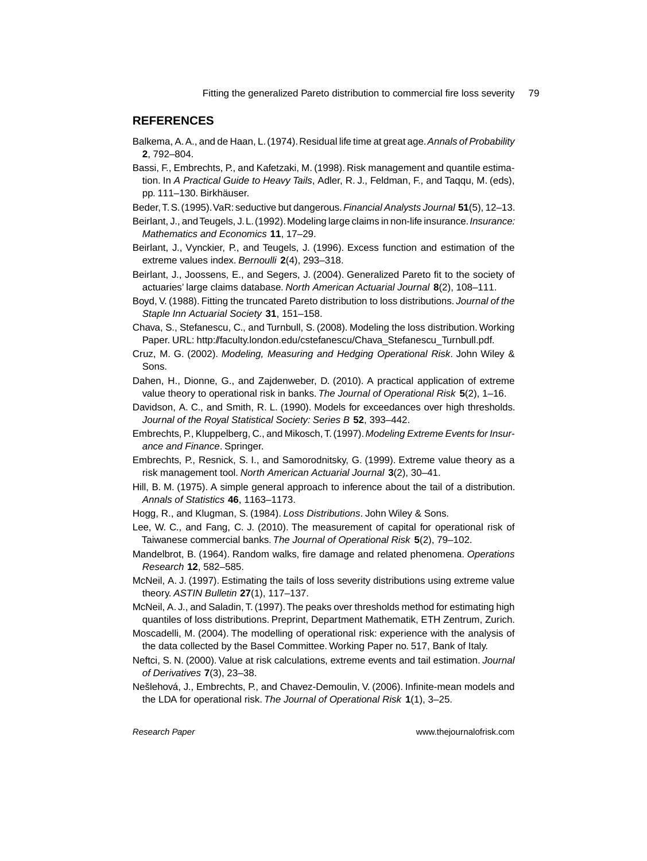## **REFERENCES**

- Balkema, A.A., and de Haan, L.(1974).Residual life time at great age.*Annals of Probability* **2**, 792–804.
- Bassi, F., Embrechts, P., and Kafetzaki, M. (1998). Risk management and quantile estimation. In *A Practical Guide to Heavy Tails*, Adler, R. J., Feldman, F., and Taqqu, M. (eds), pp. 111–130. Birkhäuser.
- Beder, T.S.(1995).VaR: seductive but dangerous.*Financial Analysts Journal* **51**(5), 12–13.
- Beirlant, J., andTeugels, J.L.(1992).Modeling large claims in non-life insurance.*Insurance: Mathematics and Economics* **11**, 17–29.
- Beirlant, J., Vynckier, P., and Teugels, J. (1996). Excess function and estimation of the extreme values index. *Bernoulli* **2**(4), 293–318.
- Beirlant, J., Joossens, E., and Segers, J. (2004). Generalized Pareto fit to the society of actuaries' large claims database. *North American Actuarial Journal* **8**(2), 108–111.
- Boyd, V. (1988). Fitting the truncated Pareto distribution to loss distributions. *Journal of the Staple Inn Actuarial Society* **31**, 151–158.
- Chava, S., Stefanescu, C., and Turnbull, S. (2008). Modeling the loss distribution. Working Paper. URL: http://faculty.london.edu/cstefanescu/Chava\_Stefanescu\_Turnbull.pdf.
- Cruz, M. G. (2002). *Modeling, Measuring and Hedging Operational Risk*. John Wiley & Sons.
- Dahen, H., Dionne, G., and Zajdenweber, D. (2010). A practical application of extreme value theory to operational risk in banks. *The Journal of Operational Risk* **5**(2), 1–16.
- Davidson, A. C., and Smith, R. L. (1990). Models for exceedances over high thresholds. *Journal of the Royal Statistical Society: Series B* **52**, 393–442.
- Embrechts, P., Kluppelberg, C., and Mikosch, T. (1997). *Modeling Extreme Events for Insurance and Finance*. Springer.
- Embrechts, P., Resnick, S. I., and Samorodnitsky, G. (1999). Extreme value theory as a risk management tool. *North American Actuarial Journal* **3**(2), 30–41.
- Hill, B. M. (1975). A simple general approach to inference about the tail of a distribution. *Annals of Statistics* **46**, 1163–1173.
- Hogg, R., and Klugman, S. (1984). *Loss Distributions*. John Wiley & Sons.
- Lee, W. C., and Fang, C. J. (2010). The measurement of capital for operational risk of Taiwanese commercial banks. *The Journal of Operational Risk* **5**(2), 79–102.
- Mandelbrot, B. (1964). Random walks, fire damage and related phenomena. *Operations Research* **12**, 582–585.
- McNeil, A. J. (1997). Estimating the tails of loss severity distributions using extreme value theory. *ASTIN Bulletin* **27**(1), 117–137.
- McNeil, A. J., and Saladin, T. (1997).The peaks over thresholds method for estimating high quantiles of loss distributions. Preprint, Department Mathematik, ETH Zentrum, Zurich.
- Moscadelli, M. (2004). The modelling of operational risk: experience with the analysis of the data collected by the Basel Committee. Working Paper no. 517, Bank of Italy.
- Neftci, S. N. (2000). Value at risk calculations, extreme events and tail estimation. *Journal of Derivatives* **7**(3), 23–38.
- Nešlehová, J., Embrechts, P., and Chavez-Demoulin, V. (2006). Infinite-mean models and the LDA for operational risk. *The Journal of Operational Risk* **1**(1), 3–25.